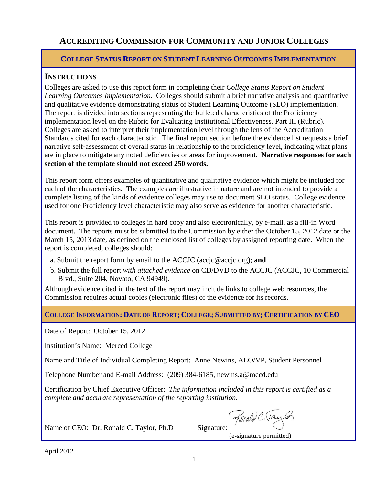# **ACCREDITING COMMISSION FOR COMMUNITY AND JUNIOR COLLEGES**

# **COLLEGE STATUS REPORT ON STUDENT LEARNING OUTCOMES IMPLEMENTATION**

# **INSTRUCTIONS**

Colleges are asked to use this report form in completing their *College Status Report on Student Learning Outcomes Implementation.* Colleges should submit a brief narrative analysis and quantitative and qualitative evidence demonstrating status of Student Learning Outcome (SLO) implementation. The report is divided into sections representing the bulleted characteristics of the Proficiency implementation level on the Rubric for Evaluating Institutional Effectiveness, Part III (Rubric). Colleges are asked to interpret their implementation level through the lens of the Accreditation Standards cited for each characteristic. The final report section before the evidence list requests a brief narrative self-assessment of overall status in relationship to the proficiency level, indicating what plans are in place to mitigate any noted deficiencies or areas for improvement. **Narrative responses for each section of the template should not exceed 250 words.**

This report form offers examples of quantitative and qualitative evidence which might be included for each of the characteristics. The examples are illustrative in nature and are not intended to provide a complete listing of the kinds of evidence colleges may use to document SLO status. College evidence used for one Proficiency level characteristic may also serve as evidence for another characteristic.

This report is provided to colleges in hard copy and also electronically, by e-mail, as a fill-in Word document. The reports must be submitted to the Commission by either the October 15, 2012 date or the March 15, 2013 date, as defined on the enclosed list of colleges by assigned reporting date. When the report is completed, colleges should:

- a. Submit the report form by email to the ACCJC (accjc@accjc.org); **and**
- b. Submit the full report *with attached evidence* on CD/DVD to the ACCJC (ACCJC, 10 Commercial Blvd., Suite 204, Novato, CA 94949).

Although evidence cited in the text of the report may include links to college web resources, the Commission requires actual copies (electronic files) of the evidence for its records.

**COLLEGE INFORMATION: DATE OF REPORT; COLLEGE; SUBMITTED BY; CERTIFICATION BY CEO**

Date of Report: October 15, 2012

Institution's Name: Merced College

Name and Title of Individual Completing Report: Anne Newins, ALO/VP, Student Personnel

Telephone Number and E-mail Address: (209) 384-6185, newins.a@mccd.edu

Certification by Chief Executive Officer: *The information included in this report is certified as a complete and accurate representation of the reporting institution.*

Ronald C. Taylor

Name of CEO: Dr. Ronald C. Taylor, Ph.D Signature:

(e-signature permitted)

April 2012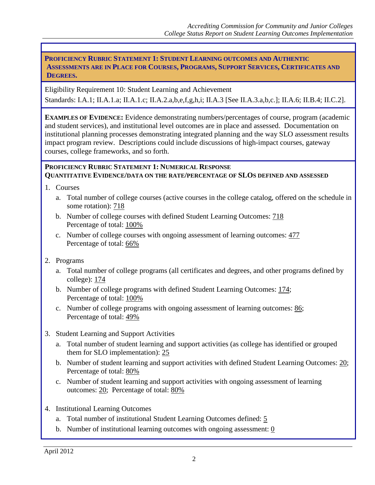**PROFICIENCY RUBRIC STATEMENT 1: STUDENT LEARNING OUTCOMES AND AUTHENTIC ASSESSMENTS ARE IN PLACE FOR COURSES, PROGRAMS, SUPPORT SERVICES, CERTIFICATES AND DEGREES.**

Eligibility Requirement 10: Student Learning and Achievement

Standards: I.A.1; II.A.1.a; II.A.1.c; II.A.2.a,b,e,f,g,h,i; II.A.3 [See II.A.3.a,b,c.]; II.A.6; II.B.4; II.C.2].

**EXAMPLES OF EVIDENCE:** Evidence demonstrating numbers/percentages of course, program (academic and student services), and institutional level outcomes are in place and assessed. Documentation on institutional planning processes demonstrating integrated planning and the way SLO assessment results impact program review. Descriptions could include discussions of high-impact courses, gateway courses, college frameworks, and so forth.

#### **PROFICIENCY RUBRIC STATEMENT 1: NUMERICAL RESPONSE QUANTITATIVE EVIDENCE/DATA ON THE RATE/PERCENTAGE OF SLOS DEFINED AND ASSESSED**

- 1. Courses
	- a. Total number of college courses (active courses in the college catalog, offered on the schedule in some rotation): 718
	- b. Number of college courses with defined Student Learning Outcomes: 718 Percentage of total: 100%
	- c. Number of college courses with ongoing assessment of learning outcomes: 477 Percentage of total: 66%
- 2. Programs
	- a. Total number of college programs (all certificates and degrees, and other programs defined by college): 174
	- b. Number of college programs with defined Student Learning Outcomes: 174; Percentage of total: 100%
	- c. Number of college programs with ongoing assessment of learning outcomes: 86; Percentage of total: 49%
- 3. Student Learning and Support Activities
	- a. Total number of student learning and support activities (as college has identified or grouped them for SLO implementation): 25
	- b. Number of student learning and support activities with defined Student Learning Outcomes: 20; Percentage of total: 80%
	- c. Number of student learning and support activities with ongoing assessment of learning outcomes: 20; Percentage of total: 80%
- 4. Institutional Learning Outcomes
	- a. Total number of institutional Student Learning Outcomes defined: 5
	- b. Number of institutional learning outcomes with ongoing assessment: 0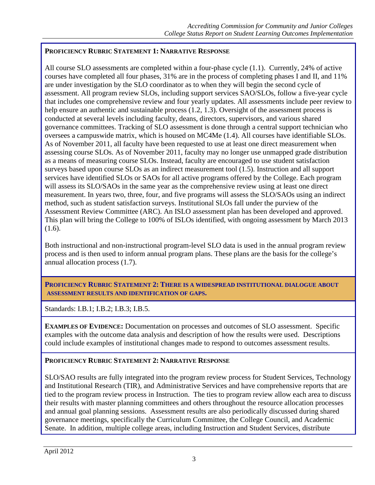# **PROFICIENCY RUBRIC STATEMENT 1: NARRATIVE RESPONSE**

All course SLO assessments are completed within a four-phase cycle (1.1). Currently, 24% of active courses have completed all four phases, 31% are in the process of completing phases I and II, and 11% are under investigation by the SLO coordinator as to when they will begin the second cycle of assessment. All program review SLOs, including support services SAO/SLOs, follow a five-year cycle that includes one comprehensive review and four yearly updates. All assessments include peer review to help ensure an authentic and sustainable process  $(1.2, 1.3)$ . Oversight of the assessment process is conducted at several levels including faculty, deans, directors, supervisors, and various shared governance committees. Tracking of SLO assessment is done through a central support technician who oversees a campuswide matrix, which is housed on MC4Me (1.4). All courses have identifiable SLOs. As of November 2011, all faculty have been requested to use at least one direct measurement when assessing course SLOs. As of November 2011, faculty may no longer use unmapped grade distribution as a means of measuring course SLOs. Instead, faculty are encouraged to use student satisfaction surveys based upon course SLOs as an indirect measurement tool (1.5). Instruction and all support services have identified SLOs or SAOs for all active programs offered by the College. Each program will assess its SLO/SAOs in the same year as the comprehensive review using at least one direct measurement. In years two, three, four, and five programs will assess the SLO/SAOs using an indirect method, such as student satisfaction surveys. Institutional SLOs fall under the purview of the Assessment Review Committee (ARC). An ISLO assessment plan has been developed and approved. This plan will bring the College to 100% of ISLOs identified, with ongoing assessment by March 2013 (1.6).

Both instructional and non-instructional program-level SLO data is used in the annual program review process and is then used to inform annual program plans. These plans are the basis for the college's annual allocation process (1.7).

### **PROFICIENCY RUBRIC STATEMENT 2: THERE IS A WIDESPREAD INSTITUTIONAL DIALOGUE ABOUT ASSESSMENT RESULTS AND IDENTIFICATION OF GAPS.**

Standards: I.B.1; I.B.2; I.B.3; I.B.5.

**EXAMPLES OF EVIDENCE:** Documentation on processes and outcomes of SLO assessment. Specific examples with the outcome data analysis and description of how the results were used. Descriptions could include examples of institutional changes made to respond to outcomes assessment results.

# **PROFICIENCY RUBRIC STATEMENT 2: NARRATIVE RESPONSE**

SLO/SAO results are fully integrated into the program review process for Student Services, Technology and Institutional Research (TIR), and Administrative Services and have comprehensive reports that are tied to the program review process in Instruction. The ties to program review allow each area to discuss their results with master planning committees and others throughout the resource allocation processes and annual goal planning sessions. Assessment results are also periodically discussed during shared governance meetings, specifically the Curriculum Committee, the College Council, and Academic Senate. In addition, multiple college areas, including Instruction and Student Services, distribute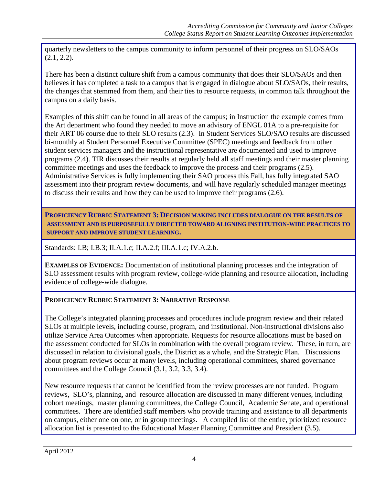quarterly newsletters to the campus community to inform personnel of their progress on SLO/SAOs  $(2.1, 2.2)$ .

There has been a distinct culture shift from a campus community that does their SLO/SAOs and then believes it has completed a task to a campus that is engaged in dialogue about SLO/SAOs, their results, the changes that stemmed from them, and their ties to resource requests, in common talk throughout the campus on a daily basis.

Examples of this shift can be found in all areas of the campus; in Instruction the example comes from the Art department who found they needed to move an advisory of ENGL 01A to a pre-requisite for their ART 06 course due to their SLO results (2.3). In Student Services SLO/SAO results are discussed bi-monthly at Student Personnel Executive Committee (SPEC) meetings and feedback from other student services managers and the instructional representative are documented and used to improve programs (2.4). TIR discusses their results at regularly held all staff meetings and their master planning committee meetings and uses the feedback to improve the process and their programs (2.5). Administrative Services is fully implementing their SAO process this Fall, has fully integrated SAO assessment into their program review documents, and will have regularly scheduled manager meetings to discuss their results and how they can be used to improve their programs (2.6).

**PROFICIENCY RUBRIC STATEMENT 3: DECISION MAKING INCLUDES DIALOGUE ON THE RESULTS OF ASSESSMENT AND IS PURPOSEFULLY DIRECTED TOWARD ALIGNING INSTITUTION-WIDE PRACTICES TO SUPPORT AND IMPROVE STUDENT LEARNING.**

Standards: I.B; I.B.3; II.A.1.c; II.A.2.f; III.A.1.c; IV.A.2.b.

**EXAMPLES OF EVIDENCE:** Documentation of institutional planning processes and the integration of SLO assessment results with program review, college-wide planning and resource allocation, including evidence of college-wide dialogue.

# **PROFICIENCY RUBRIC STATEMENT 3: NARRATIVE RESPONSE**

The College's integrated planning processes and procedures include program review and their related SLOs at multiple levels, including course, program, and institutional. Non-instructional divisions also utilize Service Area Outcomes when appropriate. Requests for resource allocations must be based on the assessment conducted for SLOs in combination with the overall program review. These, in turn, are discussed in relation to divisional goals, the District as a whole, and the Strategic Plan. Discussions about program reviews occur at many levels, including operational committees, shared governance committees and the College Council (3.1, 3.2, 3.3, 3.4).

New resource requests that cannot be identified from the review processes are not funded. Program reviews, SLO's, planning, and resource allocation are discussed in many different venues, including cohort meetings, master planning committees, the College Council, Academic Senate, and operational committees. There are identified staff members who provide training and assistance to all departments on campus, either one on one, or in group meetings. A compiled list of the entire, prioritized resource allocation list is presented to the Educational Master Planning Committee and President (3.5).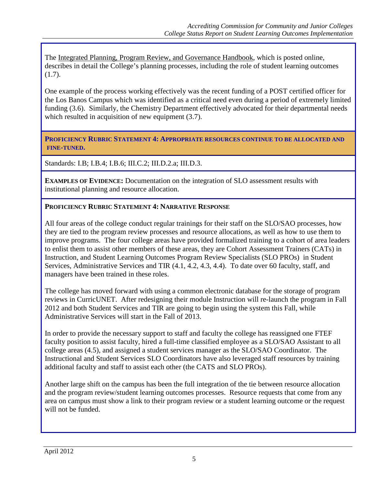The Integrated Planning, Program Review, and Governance Handbook, which is posted online, describes in detail the College's planning processes, including the role of student learning outcomes (1.7).

One example of the process working effectively was the recent funding of a POST certified officer for the Los Banos Campus which was identified as a critical need even during a period of extremely limited funding (3.6). Similarly, the Chemistry Department effectively advocated for their departmental needs which resulted in acquisition of new equipment  $(3.7)$ .

**PROFICIENCY RUBRIC STATEMENT 4: APPROPRIATE RESOURCES CONTINUE TO BE ALLOCATED AND FINE-TUNED.**

Standards: I.B; I.B.4; I.B.6; III.C.2; III.D.2.a; III.D.3.

**EXAMPLES OF EVIDENCE:** Documentation on the integration of SLO assessment results with institutional planning and resource allocation.

#### **PROFICIENCY RUBRIC STATEMENT 4: NARRATIVE RESPONSE**

All four areas of the college conduct regular trainings for their staff on the SLO/SAO processes, how they are tied to the program review processes and resource allocations, as well as how to use them to improve programs. The four college areas have provided formalized training to a cohort of area leaders to enlist them to assist other members of these areas, they are Cohort Assessment Trainers (CATs) in Instruction, and Student Learning Outcomes Program Review Specialists (SLO PROs) in Student Services, Administrative Services and TIR (4.1, 4.2, 4.3, 4.4). To date over 60 faculty, staff, and managers have been trained in these roles.

The college has moved forward with using a common electronic database for the storage of program reviews in CurricUNET. After redesigning their module Instruction will re-launch the program in Fall 2012 and both Student Services and TIR are going to begin using the system this Fall, while Administrative Services will start in the Fall of 2013.

In order to provide the necessary support to staff and faculty the college has reassigned one FTEF faculty position to assist faculty, hired a full-time classified employee as a SLO/SAO Assistant to all college areas (4.5), and assigned a student services manager as the SLO/SAO Coordinator. The Instructional and Student Services SLO Coordinators have also leveraged staff resources by training additional faculty and staff to assist each other (the CATS and SLO PROs).

Another large shift on the campus has been the full integration of the tie between resource allocation and the program review/student learning outcomes processes. Resource requests that come from any area on campus must show a link to their program review or a student learning outcome or the request will not be funded.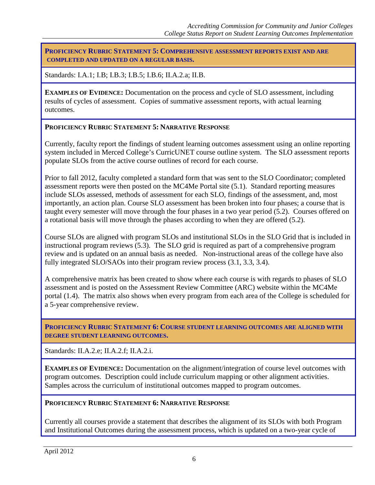**PROFICIENCY RUBRIC STATEMENT 5: COMPREHENSIVE ASSESSMENT REPORTS EXIST AND ARE COMPLETED AND UPDATED ON A REGULAR BASIS.**

Standards: I.A.1; I.B; I.B.3; I.B.5; I.B.6; II.A.2.a; II.B.

**EXAMPLES OF EVIDENCE:** Documentation on the process and cycle of SLO assessment, including results of cycles of assessment. Copies of summative assessment reports, with actual learning outcomes.

#### **PROFICIENCY RUBRIC STATEMENT 5: NARRATIVE RESPONSE**

Currently, faculty report the findings of student learning outcomes assessment using an online reporting system included in Merced College's CurricUNET course outline system. The SLO assessment reports populate SLOs from the active course outlines of record for each course.

Prior to fall 2012, faculty completed a standard form that was sent to the SLO Coordinator; completed assessment reports were then posted on the MC4Me Portal site (5.1). Standard reporting measures include SLOs assessed, methods of assessment for each SLO, findings of the assessment, and, most importantly, an action plan. Course SLO assessment has been broken into four phases; a course that is taught every semester will move through the four phases in a two year period (5.2). Courses offered on a rotational basis will move through the phases according to when they are offered (5.2).

Course SLOs are aligned with program SLOs and institutional SLOs in the SLO Grid that is included in instructional program reviews (5.3). The SLO grid is required as part of a comprehensive program review and is updated on an annual basis as needed. Non-instructional areas of the college have also fully integrated SLO/SAOs into their program review process (3.1, 3.3, 3.4).

A comprehensive matrix has been created to show where each course is with regards to phases of SLO assessment and is posted on the Assessment Review Committee (ARC) website within the MC4Me portal (1.4). The matrix also shows when every program from each area of the College is scheduled for a 5-year comprehensive review.

**PROFICIENCY RUBRIC STATEMENT 6: COURSE STUDENT LEARNING OUTCOMES ARE ALIGNED WITH DEGREE STUDENT LEARNING OUTCOMES.**

Standards: II.A.2.e; II.A.2.f; II.A.2.i.

**EXAMPLES OF EVIDENCE:** Documentation on the alignment/integration of course level outcomes with program outcomes. Description could include curriculum mapping or other alignment activities. Samples across the curriculum of institutional outcomes mapped to program outcomes.

#### **PROFICIENCY RUBRIC STATEMENT 6: NARRATIVE RESPONSE**

Currently all courses provide a statement that describes the alignment of its SLOs with both Program and Institutional Outcomes during the assessment process, which is updated on a two-year cycle of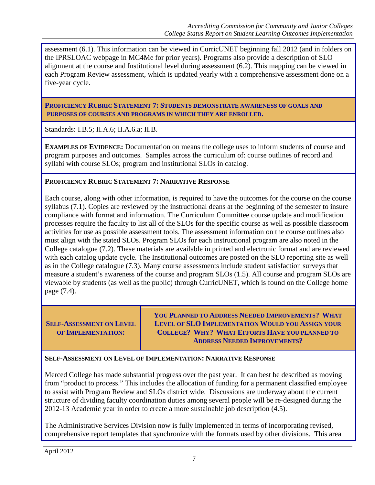assessment (6.1). This information can be viewed in CurricUNET beginning fall 2012 (and in folders on the IPRSLOAC webpage in MC4Me for prior years). Programs also provide a description of SLO alignment at the course and Institutional level during assessment (6.2). This mapping can be viewed in each Program Review assessment, which is updated yearly with a comprehensive assessment done on a five-year cycle.

**PROFICIENCY RUBRIC STATEMENT 7: STUDENTS DEMONSTRATE AWARENESS OF GOALS AND PURPOSES OF COURSES AND PROGRAMS IN WHICH THEY ARE ENROLLED.**

Standards: I.B.5; II.A.6; II.A.6.a; II.B.

**EXAMPLES OF EVIDENCE:** Documentation on means the college uses to inform students of course and program purposes and outcomes. Samples across the curriculum of: course outlines of record and syllabi with course SLOs; program and institutional SLOs in catalog.

# **PROFICIENCY RUBRIC STATEMENT 7: NARRATIVE RESPONSE**

Each course, along with other information, is required to have the outcomes for the course on the course syllabus (7.1). Copies are reviewed by the instructional deans at the beginning of the semester to insure compliance with format and information. The Curriculum Committee course update and modification processes require the faculty to list all of the SLOs for the specific course as well as possible classroom activities for use as possible assessment tools. The assessment information on the course outlines also must align with the stated SLOs. Program SLOs for each instructional program are also noted in the College catalogue (7.2). These materials are available in printed and electronic format and are reviewed with each catalog update cycle. The Institutional outcomes are posted on the SLO reporting site as well as in the College catalogue (7.3). Many course assessments include student satisfaction surveys that measure a student's awareness of the course and program SLOs (1.5). All course and program SLOs are viewable by students (as well as the public) through CurricUNET, which is found on the College home page (7.4).

**SELF-ASSESSMENT ON LEVEL OF IMPLEMENTATION:**

**YOU PLANNED TO ADDRESS NEEDED IMPROVEMENTS? WHAT LEVEL OF SLO IMPLEMENTATION WOULD YOU ASSIGN YOUR COLLEGE? WHY? WHAT EFFORTS HAVE YOU PLANNED TO ADDRESS NEEDED IMPROVEMENTS?**

#### **SELF-ASSESSMENT ON LEVEL OF IMPLEMENTATION: NARRATIVE RESPONSE**

Merced College has made substantial progress over the past year. It can best be described as moving from "product to process." This includes the allocation of funding for a permanent classified employee to assist with Program Review and SLOs district wide. Discussions are underway about the current structure of dividing faculty coordination duties among several people will be re-designed during the 2012-13 Academic year in order to create a more sustainable job description (4.5).

The Administrative Services Division now is fully implemented in terms of incorporating revised, comprehensive report templates that synchronize with the formats used by other divisions. This area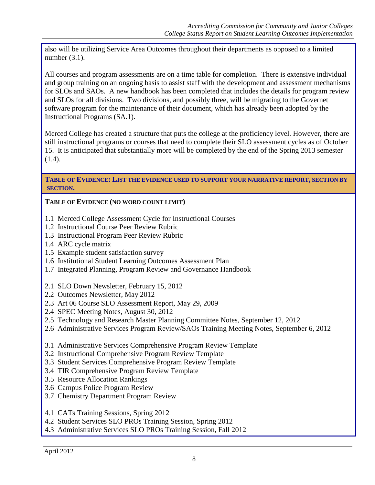also will be utilizing Service Area Outcomes throughout their departments as opposed to a limited number (3.1).

All courses and program assessments are on a time table for completion. There is extensive individual and group training on an ongoing basis to assist staff with the development and assessment mechanisms for SLOs and SAOs. A new handbook has been completed that includes the details for program review and SLOs for all divisions. Two divisions, and possibly three, will be migrating to the Governet software program for the maintenance of their document, which has already been adopted by the Instructional Programs (SA.1).

Merced College has created a structure that puts the college at the proficiency level. However, there are still instructional programs or courses that need to complete their SLO assessment cycles as of October 15. It is anticipated that substantially more will be completed by the end of the Spring 2013 semester (1.4).

#### **TABLE OF EVIDENCE: LIST THE EVIDENCE USED TO SUPPORT YOUR NARRATIVE REPORT, SECTION BY SECTION.**

# **TABLE OF EVIDENCE (NO WORD COUNT LIMIT)**

- 1.1 Merced College Assessment Cycle for Instructional Courses
- 1.2 Instructional Course Peer Review Rubric
- 1.3 Instructional Program Peer Review Rubric
- 1.4 ARC cycle matrix
- 1.5 Example student satisfaction survey
- 1.6 Institutional Student Learning Outcomes Assessment Plan
- 1.7 Integrated Planning, Program Review and Governance Handbook
- 2.1 SLO Down Newsletter, February 15, 2012
- 2.2 Outcomes Newsletter, May 2012
- 2.3 Art 06 Course SLO Assessment Report, May 29, 2009
- 2.4 SPEC Meeting Notes, August 30, 2012
- 2.5 Technology and Research Master Planning Committee Notes, September 12, 2012
- 2.6 Administrative Services Program Review/SAOs Training Meeting Notes, September 6, 2012
- 3.1 Administrative Services Comprehensive Program Review Template
- 3.2 Instructional Comprehensive Program Review Template
- 3.3 Student Services Comprehensive Program Review Template
- 3.4 TIR Comprehensive Program Review Template
- 3.5 Resource Allocation Rankings
- 3.6 Campus Police Program Review
- 3.7 Chemistry Department Program Review
- 4.1 CATs Training Sessions, Spring 2012
- 4.2 Student Services SLO PROs Training Session, Spring 2012
- 4.3 Administrative Services SLO PROs Training Session, Fall 2012